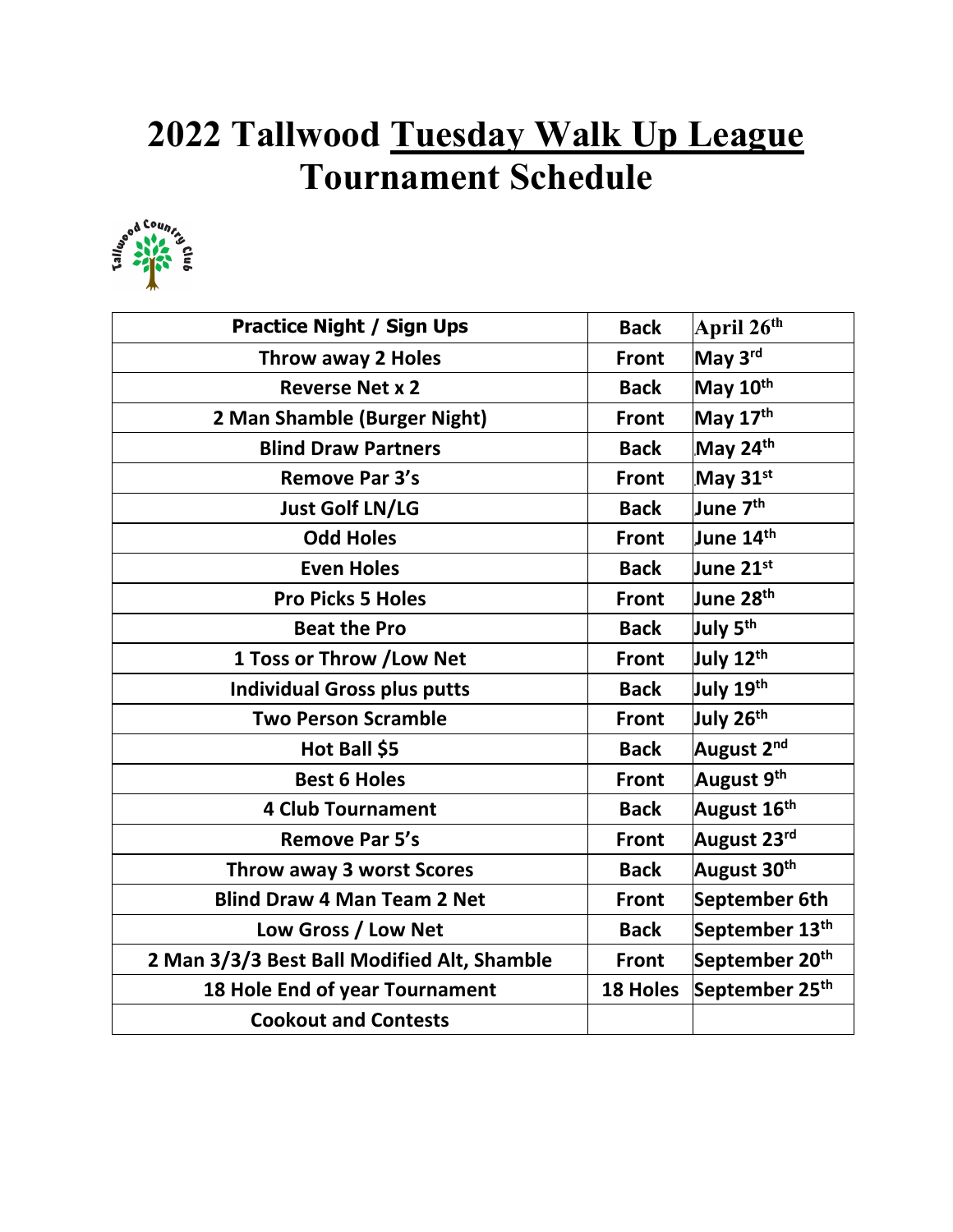## **2022 Tallwood Tuesday Walk Up League Tournament Schedule**



| <b>Practice Night / Sign Ups</b>            | <b>Back</b>     | April 26 <sup>th</sup>     |
|---------------------------------------------|-----------------|----------------------------|
| <b>Throw away 2 Holes</b>                   | <b>Front</b>    | May 3rd                    |
| <b>Reverse Net x 2</b>                      | <b>Back</b>     | May 10th                   |
| 2 Man Shamble (Burger Night)                | <b>Front</b>    | May 17 <sup>th</sup>       |
| <b>Blind Draw Partners</b>                  | <b>Back</b>     | May 24th                   |
| <b>Remove Par 3's</b>                       | <b>Front</b>    | May 31st                   |
| <b>Just Golf LN/LG</b>                      | <b>Back</b>     | June 7 <sup>th</sup>       |
| <b>Odd Holes</b>                            | <b>Front</b>    | June 14th                  |
| <b>Even Holes</b>                           | <b>Back</b>     | June 21 <sup>st</sup>      |
| <b>Pro Picks 5 Holes</b>                    | <b>Front</b>    | June 28 <sup>th</sup>      |
| <b>Beat the Pro</b>                         | <b>Back</b>     | July 5 <sup>th</sup>       |
| 1 Toss or Throw / Low Net                   | <b>Front</b>    | July 12 <sup>th</sup>      |
| <b>Individual Gross plus putts</b>          | <b>Back</b>     | July 19 <sup>th</sup>      |
| <b>Two Person Scramble</b>                  | <b>Front</b>    | July 26 <sup>th</sup>      |
| Hot Ball \$5                                | <b>Back</b>     | August 2 <sup>nd</sup>     |
| <b>Best 6 Holes</b>                         | <b>Front</b>    | August 9 <sup>th</sup>     |
| <b>4 Club Tournament</b>                    | <b>Back</b>     | August 16 <sup>th</sup>    |
| <b>Remove Par 5's</b>                       | <b>Front</b>    | August 23rd                |
| <b>Throw away 3 worst Scores</b>            | <b>Back</b>     | August 30 <sup>th</sup>    |
| <b>Blind Draw 4 Man Team 2 Net</b>          | <b>Front</b>    | September 6th              |
| Low Gross / Low Net                         | <b>Back</b>     | September 13 <sup>th</sup> |
| 2 Man 3/3/3 Best Ball Modified Alt, Shamble | <b>Front</b>    | September 20 <sup>th</sup> |
| 18 Hole End of year Tournament              | <b>18 Holes</b> | September 25 <sup>th</sup> |
| <b>Cookout and Contests</b>                 |                 |                            |